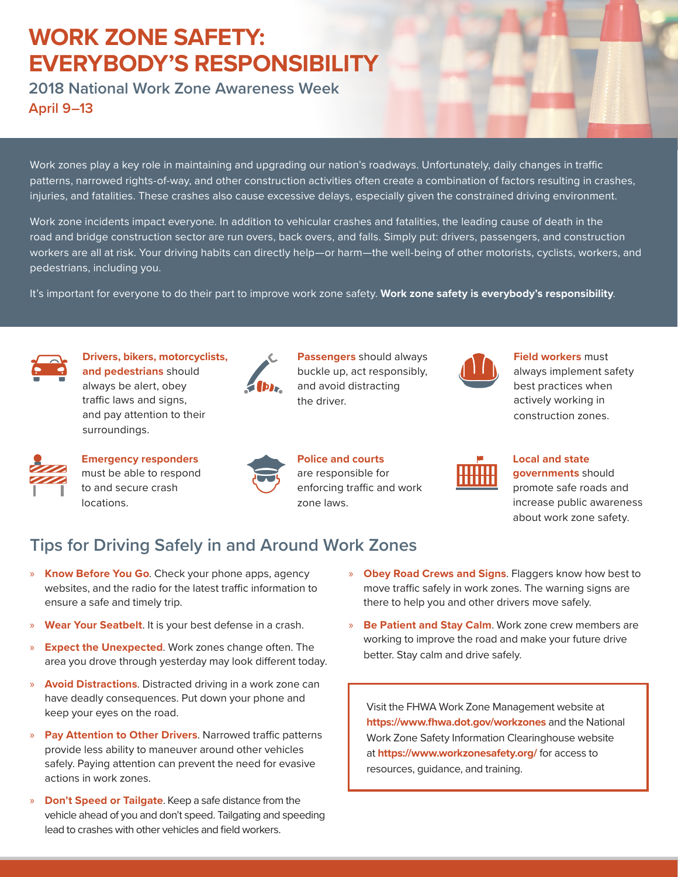## **WORK ZONE SAFETY: EVERYBODY'S RESPONSIBILITY**

**2018 National Work Zone Awareness Week April 9–13**

Work zones play a key role in maintaining and upgrading our nation's roadways. Unfortunately, daily changes in traffic patterns, narrowed rights-of-way, and other construction activities often create a combination of factors resulting in crashes, injuries, and fatalities. These crashes also cause excessive delays, especially given the constrained driving environment.

Work zone incidents impact everyone. In addition to vehicular crashes and fatalities, the leading cause of death in the road and bridge construction sector are run overs, back overs, and falls. Simply put: drivers, passengers, and construction workers are all at risk. Your driving habits can directly help—or harm—the well-being of other motorists, cyclists, workers, and pedestrians, including you.

It's important for everyone to do their part to improve work zone safety. **Work zone safety is everybody's responsibility**.



**Drivers, bikers, motorcyclists, and pedestrians** should always be alert, obey traffic laws and signs, and pay attention to their surroundings.



**Passengers** should always buckle up, act responsibly, and avoid distracting the driver.



```
Field workers must 
always implement safety 
best practices when 
actively working in 
construction zones.
```


**Emergency responders** must be able to respond to and secure crash locations.



**Police and courts** are responsible for enforcing traffic and work zone laws.



**Local and state governments** should promote safe roads and increase public awareness about work zone safety.

## **Tips for Driving Safely in and Around Work Zones**

- » **Know Before You Go**. Check your phone apps, agency websites, and the radio for the latest traffic information to ensure a safe and timely trip.
- » **Wear Your Seatbelt**. It is your best defense in a crash.
- » **Expect the Unexpected**. Work zones change often. The area you drove through yesterday may look different today.
- » **Avoid Distractions**. Distracted driving in a work zone can have deadly consequences. Put down your phone and keep your eyes on the road.
- » **Pay Attention to Other Drivers**. Narrowed traffic patterns provide less ability to maneuver around other vehicles safely. Paying attention can prevent the need for evasive actions in work zones.
- » **Don't Speed or Tailgate**. Keep a safe distance from the vehicle ahead of you and don't speed. Tailgating and speeding lead to crashes with other vehicles and field workers.
- » **Obey Road Crews and Signs**. Flaggers know how best to move traffic safely in work zones. The warning signs are there to help you and other drivers move safely.
- » **Be Patient and Stay Calm**. Work zone crew members are working to improve the road and make your future drive better. Stay calm and drive safely.

Visit the FHWA Work Zone Management website at **https://www.fhwa.dot.gov/workzones** and the National Work Zone Safety Information Clearinghouse website at **https://www.workzonesafety.org/** for access to resources, guidance, and training.